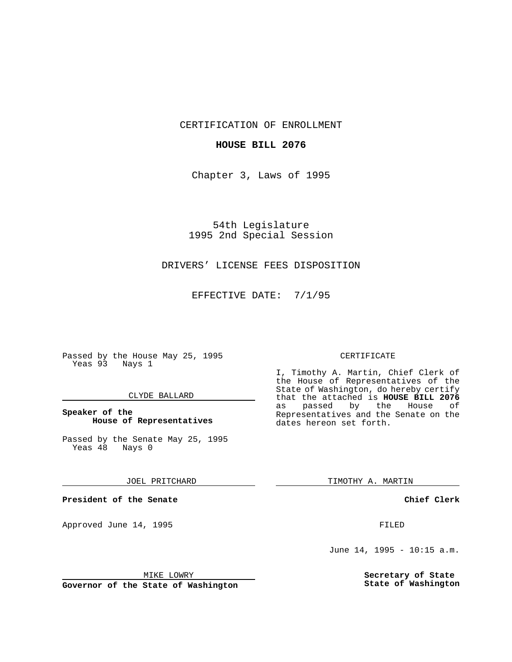CERTIFICATION OF ENROLLMENT

#### **HOUSE BILL 2076**

Chapter 3, Laws of 1995

54th Legislature 1995 2nd Special Session

## DRIVERS' LICENSE FEES DISPOSITION

EFFECTIVE DATE: 7/1/95

Passed by the House May 25, 1995 Yeas 93 Nays 1

#### CLYDE BALLARD

### **Speaker of the House of Representatives**

Passed by the Senate May 25, 1995<br>Yeas 48 Nays 0 Yeas 48

JOEL PRITCHARD

**President of the Senate**

Approved June 14, 1995 FILED

## CERTIFICATE

I, Timothy A. Martin, Chief Clerk of the House of Representatives of the State of Washington, do hereby certify that the attached is **HOUSE BILL 2076** passed by the Representatives and the Senate on the dates hereon set forth.

TIMOTHY A. MARTIN

**Chief Clerk**

June 14, 1995 - 10:15 a.m.

**Secretary of State State of Washington**

MIKE LOWRY

**Governor of the State of Washington**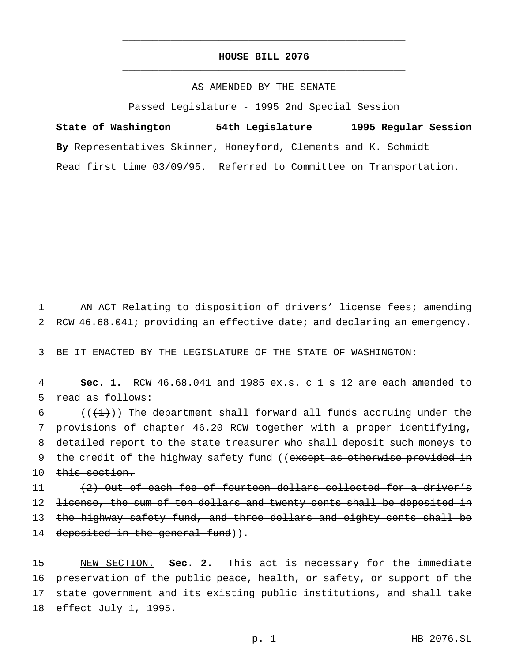# **HOUSE BILL 2076** \_\_\_\_\_\_\_\_\_\_\_\_\_\_\_\_\_\_\_\_\_\_\_\_\_\_\_\_\_\_\_\_\_\_\_\_\_\_\_\_\_\_\_\_\_\_\_

\_\_\_\_\_\_\_\_\_\_\_\_\_\_\_\_\_\_\_\_\_\_\_\_\_\_\_\_\_\_\_\_\_\_\_\_\_\_\_\_\_\_\_\_\_\_\_

# AS AMENDED BY THE SENATE

Passed Legislature - 1995 2nd Special Session

**State of Washington 54th Legislature 1995 Regular Session By** Representatives Skinner, Honeyford, Clements and K. Schmidt Read first time 03/09/95. Referred to Committee on Transportation.

1 AN ACT Relating to disposition of drivers' license fees; amending 2 RCW 46.68.041; providing an effective date; and declaring an emergency.

3 BE IT ENACTED BY THE LEGISLATURE OF THE STATE OF WASHINGTON:

4 **Sec. 1.** RCW 46.68.041 and 1985 ex.s. c 1 s 12 are each amended to 5 read as follows:

6  $((+1))$  The department shall forward all funds accruing under the 7 provisions of chapter 46.20 RCW together with a proper identifying, 8 detailed report to the state treasurer who shall deposit such moneys to 9 the credit of the highway safety fund ((except as otherwise provided in 10 this section.

11 (2) Out of each fee of fourteen dollars collected for a driver's 12 <del>license, the sum of ten dollars and twenty cents shall be deposited in</del> 13 the highway safety fund, and three dollars and eighty cents shall be 14 deposited in the general fund)).

 NEW SECTION. **Sec. 2.** This act is necessary for the immediate preservation of the public peace, health, or safety, or support of the state government and its existing public institutions, and shall take effect July 1, 1995.